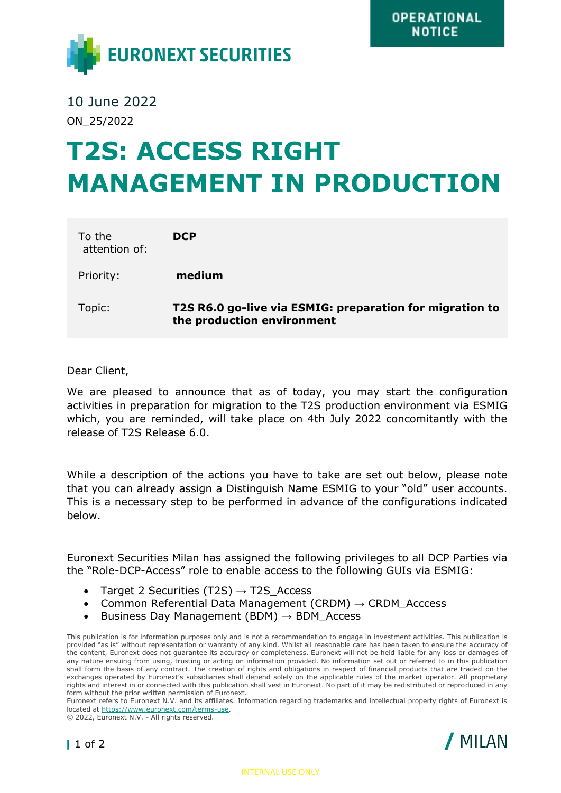

10 June 2022 ON\_25/2022

## **T2S: ACCESS RIGHT MANAGEMENT IN PRODUCTION**

| To the<br>attention of: | <b>DCP</b>                                                                             |
|-------------------------|----------------------------------------------------------------------------------------|
| Priority:               | medium                                                                                 |
| Topic:                  | T2S R6.0 go-live via ESMIG: preparation for migration to<br>the production environment |

## Dear Client,

We are pleased to announce that as of today, you may start the configuration activities in preparation for migration to the T2S production environment via ESMIG which, you are reminded, will take place on 4th July 2022 concomitantly with the release of T2S Release 6.0.

While a description of the actions you have to take are set out below, please note that you can already assign a Distinguish Name ESMIG to your "old" user accounts. This is a necessary step to be performed in advance of the configurations indicated below.

Euronext Securities Milan has assigned the following privileges to all DCP Parties via the "Role-DCP-Access" role to enable access to the following GUIs via ESMIG:

- Target 2 Securities (T2S)  $\rightarrow$  T2S Access
- Common Referential Data Management (CRDM)  $\rightarrow$  CRDM Acccess
- Business Day Management (BDM)  $\rightarrow$  BDM\_Access

This publication is for information purposes only and is not a recommendation to engage in investment activities. This publication is provided "as is" without representation or warranty of any kind. Whilst all reasonable care has been taken to ensure the accuracy of the content, Euronext does not guarantee its accuracy or completeness. Euronext will not be held liable for any loss or damages of any nature ensuing from using, trusting or acting on information provided. No information set out or referred to in this publication shall form the basis of any contract. The creation of rights and obligations in respect of financial products that are traded on the exchanges operated by Euronext's subsidiaries shall depend solely on the applicable rules of the market operator. All proprietary rights and interest in or connected with this publication shall vest in Euronext. No part of it may be redistributed or reproduced in any form without the prior written permission of Euronext.

Euronext refers to Euronext N.V. and its affiliates. Information regarding trademarks and intellectual property rights of Euronext is located at [https://www.euronext.com/terms-use.](https://www.euronext.com/terms-use)

© 2022, Euronext N.V. - All rights reserved.